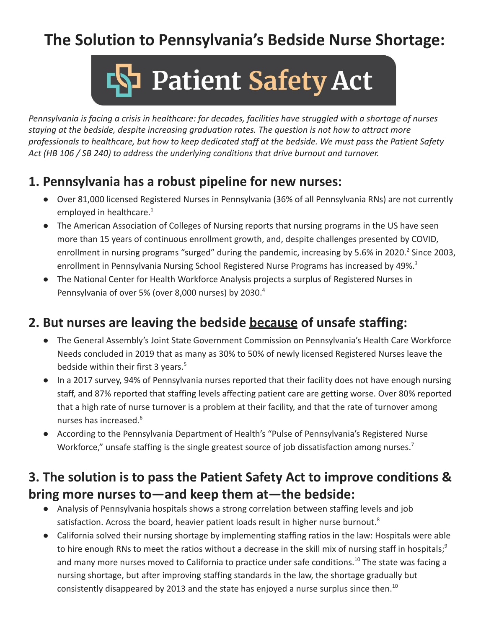# **The Solution to Pennsylvania's Bedside Nurse Shortage:**



*Pennsylvania is facing a crisis in healthcare: for decades, facilities have struggled with a shortage of nurses staying at the bedside, despite increasing graduation rates. The question is not how to attract more professionals to healthcare, but how to keep dedicated staff at the bedside. We must pass the Patient Safety Act (HB 106 / SB 240) to address the underlying conditions that drive burnout and turnover.*

#### **1. Pennsylvania has a robust pipeline for new nurses:**

- **●** Over 81,000 licensed Registered Nurses in Pennsylvania (36% of all Pennsylvania RNs) are not currently employed in healthcare.<sup>1</sup>
- **●** The American Association of Colleges of Nursing reports that nursing programs in the US have seen more than 15 years of continuous enrollment growth, and, despite challenges presented by COVID, enrollment in nursing programs "surged" during the pandemic, increasing by 5.6% in 2020.<sup>2</sup> Since 2003, enrollment in Pennsylvania Nursing School Registered Nurse Programs has increased by 49%.<sup>3</sup>
- **●** The National Center for Health Workforce Analysis projects a surplus of Registered Nurses in Pennsylvania of over 5% (over 8,000 nurses) by 2030.<sup>4</sup>

### **2. But nurses are leaving the bedside because of unsafe staffing:**

- The General Assembly's Joint State Government Commission on Pennsylvania's Health Care Workforce Needs concluded in 2019 that as many as 30% to 50% of newly licensed Registered Nurses leave the bedside within their first 3 years.<sup>5</sup>
- In a 2017 survey, 94% of Pennsylvania nurses reported that their facility does not have enough nursing staff, and 87% reported that staffing levels affecting patient care are getting worse. Over 80% reported that a high rate of nurse turnover is a problem at their facility, and that the rate of turnover among nurses has increased.<sup>6</sup>
- According to the Pennsylvania Department of Health's "Pulse of Pennsylvania's Registered Nurse Workforce," unsafe staffing is the single greatest source of job dissatisfaction among nurses.<sup>7</sup>

### **3. The solution is to pass the Patient Safety Act to improve conditions & bring more nurses to—and keep them at—the bedside:**

- Analysis of Pennsylvania hospitals shows a strong correlation between staffing levels and job satisfaction. Across the board, heavier patient loads result in higher nurse burnout.<sup>8</sup>
- California solved their nursing shortage by implementing staffing ratios in the law: Hospitals were able to hire enough RNs to meet the ratios without a decrease in the skill mix of nursing staff in hospitals;<sup>9</sup> and many more nurses moved to California to practice under safe conditions.<sup>10</sup> The state was facing a nursing shortage, but after improving staffing standards in the law, the shortage gradually but consistently disappeared by 2013 and the state has enjoyed a nurse surplus since then.<sup>10</sup>